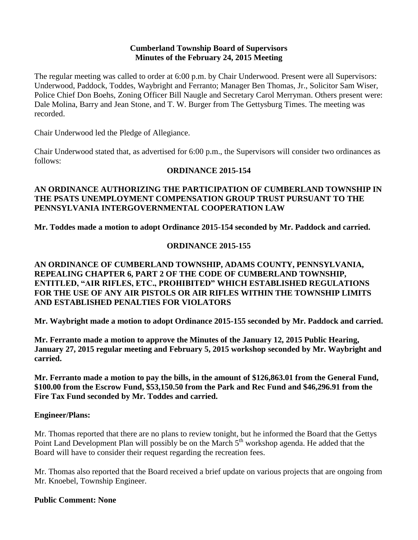#### **Cumberland Township Board of Supervisors Minutes of the February 24, 2015 Meeting**

The regular meeting was called to order at 6:00 p.m. by Chair Underwood. Present were all Supervisors: Underwood, Paddock, Toddes, Waybright and Ferranto; Manager Ben Thomas, Jr., Solicitor Sam Wiser, Police Chief Don Boehs, Zoning Officer Bill Naugle and Secretary Carol Merryman. Others present were: Dale Molina, Barry and Jean Stone, and T. W. Burger from The Gettysburg Times. The meeting was recorded.

Chair Underwood led the Pledge of Allegiance.

Chair Underwood stated that, as advertised for 6:00 p.m., the Supervisors will consider two ordinances as follows:

## **ORDINANCE 2015-154**

## **AN ORDINANCE AUTHORIZING THE PARTICIPATION OF CUMBERLAND TOWNSHIP IN THE PSATS UNEMPLOYMENT COMPENSATION GROUP TRUST PURSUANT TO THE PENNSYLVANIA INTERGOVERNMENTAL COOPERATION LAW**

**Mr. Toddes made a motion to adopt Ordinance 2015-154 seconded by Mr. Paddock and carried.**

## **ORDINANCE 2015-155**

## **AN ORDINANCE OF CUMBERLAND TOWNSHIP, ADAMS COUNTY, PENNSYLVANIA, REPEALING CHAPTER 6, PART 2 OF THE CODE OF CUMBERLAND TOWNSHIP, ENTITLED, "AIR RIFLES, ETC., PROHIBITED" WHICH ESTABLISHED REGULATIONS FOR THE USE OF ANY AIR PISTOLS OR AIR RIFLES WITHIN THE TOWNSHIP LIMITS AND ESTABLISHED PENALTIES FOR VIOLATORS**

**Mr. Waybright made a motion to adopt Ordinance 2015-155 seconded by Mr. Paddock and carried.**

**Mr. Ferranto made a motion to approve the Minutes of the January 12, 2015 Public Hearing, January 27, 2015 regular meeting and February 5, 2015 workshop seconded by Mr. Waybright and carried.** 

**Mr. Ferranto made a motion to pay the bills, in the amount of \$126,863.01 from the General Fund, \$100.00 from the Escrow Fund, \$53,150.50 from the Park and Rec Fund and \$46,296.91 from the Fire Tax Fund seconded by Mr. Toddes and carried.**

## **Engineer/Plans:**

Mr. Thomas reported that there are no plans to review tonight, but he informed the Board that the Gettys Point Land Development Plan will possibly be on the March 5<sup>th</sup> workshop agenda. He added that the Board will have to consider their request regarding the recreation fees.

Mr. Thomas also reported that the Board received a brief update on various projects that are ongoing from Mr. Knoebel, Township Engineer.

#### **Public Comment: None**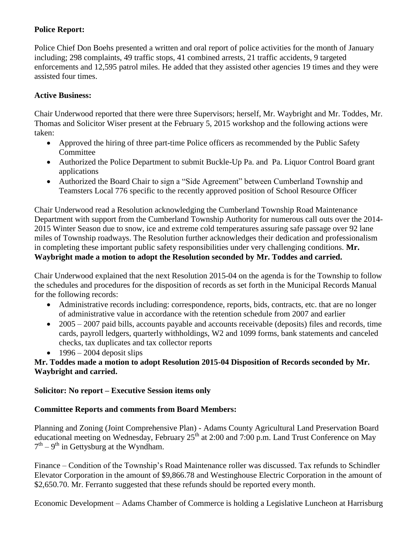# **Police Report:**

Police Chief Don Boehs presented a written and oral report of police activities for the month of January including; 298 complaints, 49 traffic stops, 41 combined arrests, 21 traffic accidents, 9 targeted enforcements and 12,595 patrol miles. He added that they assisted other agencies 19 times and they were assisted four times.

# **Active Business:**

Chair Underwood reported that there were three Supervisors; herself, Mr. Waybright and Mr. Toddes, Mr. Thomas and Solicitor Wiser present at the February 5, 2015 workshop and the following actions were taken:

- Approved the hiring of three part-time Police officers as recommended by the Public Safety Committee
- Authorized the Police Department to submit Buckle-Up Pa. and Pa. Liquor Control Board grant applications
- Authorized the Board Chair to sign a "Side Agreement" between Cumberland Township and Teamsters Local 776 specific to the recently approved position of School Resource Officer

Chair Underwood read a Resolution acknowledging the Cumberland Township Road Maintenance Department with support from the Cumberland Township Authority for numerous call outs over the 2014- 2015 Winter Season due to snow, ice and extreme cold temperatures assuring safe passage over 92 lane miles of Township roadways. The Resolution further acknowledges their dedication and professionalism in completing these important public safety responsibilities under very challenging conditions. **Mr. Waybright made a motion to adopt the Resolution seconded by Mr. Toddes and carried.**

Chair Underwood explained that the next Resolution 2015-04 on the agenda is for the Township to follow the schedules and procedures for the disposition of records as set forth in the Municipal Records Manual for the following records:

- Administrative records including: correspondence, reports, bids, contracts, etc. that are no longer of administrative value in accordance with the retention schedule from 2007 and earlier
- 2005 2007 paid bills, accounts payable and accounts receivable (deposits) files and records, time cards, payroll ledgers, quarterly withholdings, W2 and 1099 forms, bank statements and canceled checks, tax duplicates and tax collector reports
- $\cdot$  1996 2004 deposit slips

## **Mr. Toddes made a motion to adopt Resolution 2015-04 Disposition of Records seconded by Mr. Waybright and carried.**

# **Solicitor: No report – Executive Session items only**

# **Committee Reports and comments from Board Members:**

Planning and Zoning (Joint Comprehensive Plan) - Adams County Agricultural Land Preservation Board educational meeting on Wednesday, February  $25<sup>th</sup>$  at 2:00 and 7:00 p.m. Land Trust Conference on May  $7<sup>th</sup> - 9<sup>th</sup>$  in Gettysburg at the Wyndham.

Finance – Condition of the Township's Road Maintenance roller was discussed. Tax refunds to Schindler Elevator Corporation in the amount of \$9,866.78 and Westinghouse Electric Corporation in the amount of \$2,650.70. Mr. Ferranto suggested that these refunds should be reported every month.

Economic Development – Adams Chamber of Commerce is holding a Legislative Luncheon at Harrisburg